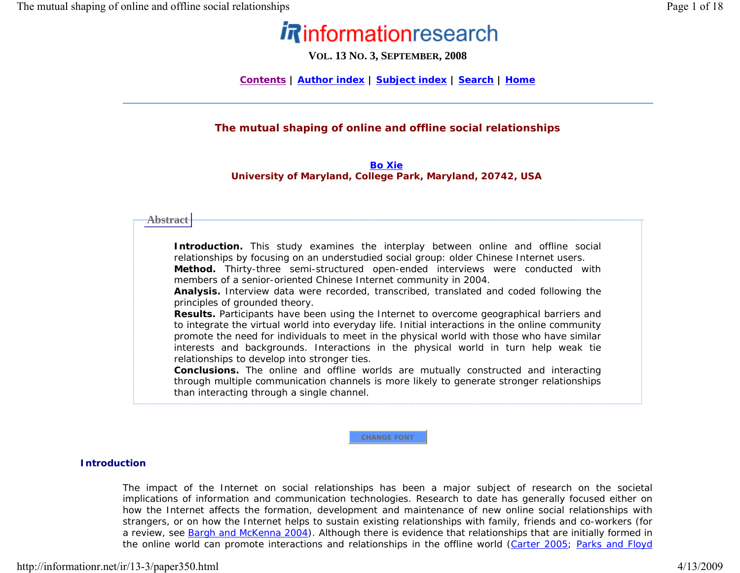# *Rinformationresearch*

**VOL. 13 N O. 3, SEPTEMBER, 2008**

**Contents | Author index | Subject index | Search | Home**

# **The mutual shaping of online and offline social relationships**

# *Bo XieUniversity of Maryland, College Park, Maryland, 20742, USA*

## **Abstract**

*Introduction. This study examines the interplay between online and offline social relationships by focusing on an understudied social group: older Chinese Internet users. Method. Thirty-three semi-structured open-ended interviews were conducted with members of a senior-oriented Chinese Internet community in 2004.* 

*Analysis. Interview data were recorded, transcribed, translated and coded following the principles of grounded theory.* 

*Results. Participants have been using the Internet to overcome geographical barriers and to integrate the virtual world into everyday life. Initial interactions in the online community promote the need for individuals to meet in the physical world with those who have similar interests and backgrounds. Interactions in the physical world in turn help weak tie relationships to develop into stronger ties.* 

*Conclusions. The online and offline worlds are mutually constructed and interacting through multiple communication channels is more likely to generate stronger relationships than interacting through a single channel.* 

**CHANGE FONT**

# **Introduction**

The impact of the Internet on social relationships has been a major subject of research on the societal implications of information and communication technologies. Research to date has generally focused either on how the Internet affects the formation, development and maintenance of new online social relationships with strangers, or on how the Internet helps to sustain existing relationships with family, friends and co-workers (for a review, see Bargh and McKenna 2004). Although there is evidence that relationships that are initially formed in the online world can promote interactions and relationships in the offline world (Carter 2005; Parks and Floyd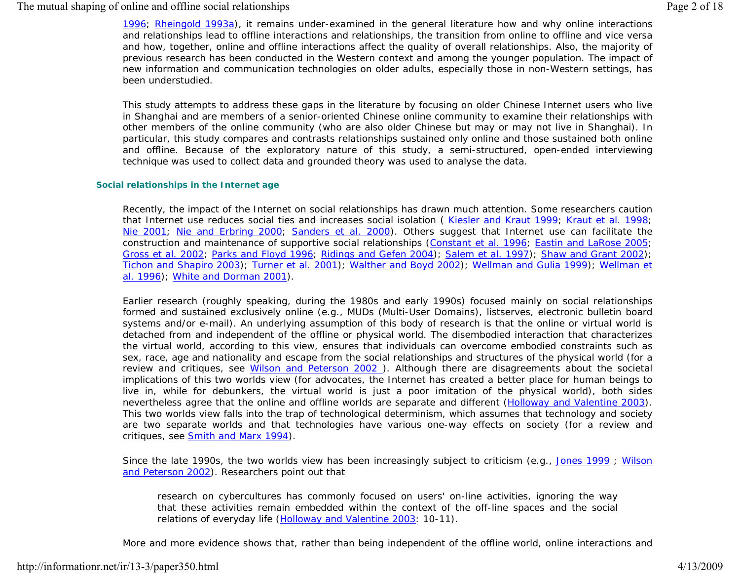# The mutual shaping of online and offline social relationships Page 2 of 18

1996; Rheingold 1993a), it remains under-examined in the general literature how and why online interactions and relationships lead to offline interactions and relationships, the transition from online to offline and vice versa and how, together, online and offline interactions affect the quality of overall relationships. Also, the majority of previous research has been conducted in the Western context and among the younger population. The impact of new information and communication technologies on older adults, especially those in non-Western settings, has been understudied.

This study attempts to address these gaps in the literature by focusing on older Chinese Internet users who live in Shanghai and are members of a senior-oriented Chinese online community to examine their relationships with other members of the online community (who are also older Chinese but may or may not live in Shanghai). In particular, this study compares and contrasts relationships sustained only online and those sustained both online and offline. Because of the exploratory nature of this study, a semi-structured, open-ended interviewing technique was used to collect data and grounded theory was used to analyse the data.

#### **Social relationships in the Internet age**

Recently, the impact of the Internet on social relationships has drawn much attention. Some researchers caution that Internet use reduces social ties and increases social isolation ( Kiesler and Kraut 1999; Kraut *et al.* 1998; Nie 2001; Nie and Erbring 2000; Sanders *et al.* 2000). Others suggest that Internet use can facilitate the construction and maintenance of supportive social relationships (Constant *et al.* 1996; Eastin and LaRose 2005; Gross *et al.* 2002; Parks and Floyd 1996; Ridings and Gefen 2004); Salem *et al.* 1997); Shaw and Grant 2002); Tichon and Shapiro 2003); Turner *et al.* 2001); Walther and Boyd 2002); Wellman and Gulia 1999); Wellman *et al.* 1996); White and Dorman 2001).

Earlier research (roughly speaking, during the 1980s and early 1990s) focused mainly on social relationships formed and sustained exclusively online (e.g., MUDs (Multi-User Domains), listserves, electronic bulletin board systems and/or e-mail). An underlying assumption of this body of research is that the online or virtual world is detached from and independent of the offline or physical world. The disembodied interaction that characterizes the virtual world, according to this view, ensures that individuals can overcome embodied constraints such as sex, race, age and nationality and escape from the social relationships and structures of the physical world (for a review and critiques, see Wilson and Peterson 2002 ). Although there are disagreements about the societal implications of this two worlds view (for advocates, the Internet has created a better place for human beings to live in, while for debunkers, the virtual world is just a poor imitation of the physical world), both sides nevertheless agree that the online and offline worlds are separate and different (Holloway and Valentine 2003). This two worlds view falls into the trap of technological determinism, which assumes that technology and society are two separate worlds and that technologies have various one-way effects on society (for a review and critiques, see **Smith and Marx 1994**).

Since the late 1990s, the two worlds view has been increasingly subject to criticism (e.g., Jones 1999; Wilson and Peterson 2002). Researchers point out that

*research on cybercultures has commonly focused on users' on-line activities, ignoring the way that these activities remain embedded within the context of the off-line spaces and the social relations of everyday life (Holloway and Valentine 2003: 10-11).* 

More and more evidence shows that, rather than being independent of the offline world, online interactions and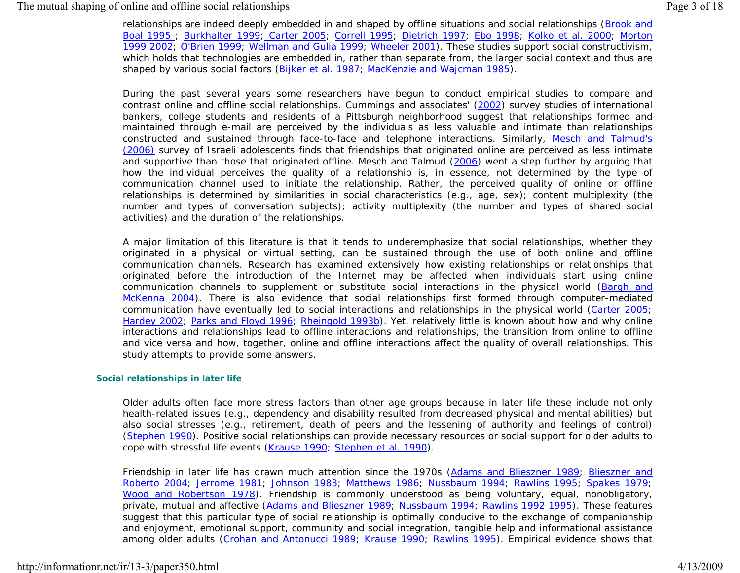relationships are indeed deeply embedded in and shaped by offline situations and social relationships (Brook and Boal 1995 ; Burkhalter 1999; Carter 2005; Correll 1995; Dietrich 1997; Ebo 1998; Kolko *et al.* 2000; Morton 1999 2002; O'Brien 1999; Wellman and Gulia 1999; Wheeler 2001). These studies support social constructivism, which holds that technologies are embedded in, rather than separate from, the larger social context and thus are shaped by various social factors (Bijker *et al.* 1987; MacKenzie and Wajcman 1985).

During the past several years some researchers have begun to conduct empirical studies to compare and contrast online and offline social relationships. Cummings and associates' (2002) survey studies of international bankers, college students and residents of a Pittsburgh neighborhood suggest that relationships formed and maintained through e-mail are perceived by the individuals as less valuable and intimate than relationships constructed and sustained through face-to-face and telephone interactions. Similarly, Mesch and Talmud's (2006) survey of Israeli adolescents finds that friendships that originated online are perceived as less intimate and supportive than those that originated offline. Mesch and Talmud (2006) went a step further by arguing that how the individual perceives the quality of a relationship is, in essence, not determined by the type of communication channel used to initiate the relationship. Rather, the perceived quality of online or offline relationships is determined by similarities in social characteristics (e.g., age, sex); content multiplexity (the number and types of conversation subjects); activity multiplexity (the number and types of shared social activities) and the duration of the relationships.

A major limitation of this literature is that it tends to underemphasize that social relationships, whether they originated in a physical or virtual setting, can be sustained through the use of both online and offline communication channels. Research has examined extensively how existing relationships or relationships that originated before the introduction of the Internet may be affected when individuals start using online communication channels to supplement or substitute social interactions in the physical world (Bargh and McKenna 2004). There is also evidence that social relationships first formed through computer-mediated communication have eventually led to social interactions and relationships in the physical world (Carter 2005; Hardey 2002; Parks and Floyd 1996; Rheingold 1993b). Yet, relatively little is known about how and why online interactions and relationships lead to offline interactions and relationships, the transition from online to offline and vice versa and how, together, online and offline interactions affect the quality of overall relationships. This study attempts to provide some answers.

#### **Social relationships in later life**

Older adults often face more stress factors than other age groups because in later life these include not only health-related issues (e.g., dependency and disability resulted from decreased physical and mental abilities) but also social stresses (e.g., retirement, death of peers and the lessening of authority and feelings of control) (Stephen 1990). Positive social relationships can provide necessary resources or social support for older adults to cope with stressful life events (Krause 1990; Stephen *et al.* 1990).

Friendship in later life has drawn much attention since the 1970s (Adams and Blieszner 1989; Blieszner and Roberto 2004; Jerrome 1981; Johnson 1983; Matthews 1986; Nussbaum 1994; Rawlins 1995; Spakes 1979; Wood and Robertson 1978). Friendship is commonly understood as being voluntary, equal, nonobligatory, private, mutual and affective (Adams and Blieszner 1989; Nussbaum 1994; Rawlins 1992 1995). These features suggest that this particular type of social relationship is optimally conducive to the exchange of companionship and enjoyment, emotional support, community and social integration, tangible help and informational assistance among older adults (Crohan and Antonucci 1989; Krause 1990; Rawlins 1995). Empirical evidence shows that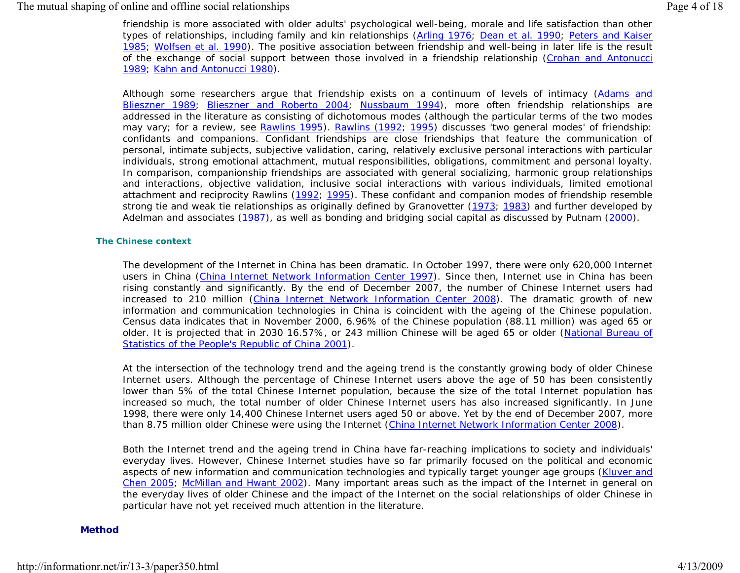## The mutual shaping of online and offline social relationships Page 4 of 18

friendship is more associated with older adults' psychological well-being, morale and life satisfaction than other types of relationships, including family and kin relationships (Arling 1976; Dean *et al.* 1990; Peters and Kaiser 1985; Wolfsen *et al.* 1990). The positive association between friendship and well-being in later life is the result of the exchange of social support between those involved in a friendship relationship (Crohan and Antonucci 1989; Kahn and Antonucci 1980).

Although some researchers argue that friendship exists on a continuum of levels of intimacy (Adams and Blieszner 1989; Blieszner and Roberto 2004; Nussbaum 1994), more often friendship relationships are addressed in the literature as consisting of dichotomous modes (although the particular terms of the two modes may vary; for a review, see Rawlins 1995). Rawlins (1992; 1995) discusses '*two general modes*' of friendship: confidants and companions. Confidant friendships are close friendships that feature the communication of personal, intimate subjects, subjective validation, caring, relatively exclusive personal interactions with particular individuals, strong emotional attachment, mutual responsibilities, obligations, commitment and personal loyalty. In comparison, companionship friendships are associated with general socializing, harmonic group relationships and interactions, objective validation, inclusive social interactions with various individuals, limited emotional attachment and reciprocity Rawlins (1992; 1995). These confidant and companion modes of friendship resemble strong tie and weak tie relationships as originally defined by Granovetter (1973; 1983) and further developed by Adelman and associates (1987), as well as bonding and bridging social capital as discussed by Putnam (2000).

#### **The Chinese context**

The development of the Internet in China has been dramatic. In October 1997, there were only 620,000 Internet users in China (China Internet Network Information Center 1997). Since then, Internet use in China has been rising constantly and significantly. By the end of December 2007, the number of Chinese Internet users had increased to 210 million (China Internet Network Information Center 2008). The dramatic growth of new information and communication technologies in China is coincident with the ageing of the Chinese population. Census data indicates that in November 2000, 6.96% of the Chinese population (88.11 million) was aged 65 or older. It is projected that in 2030 16.57%, or 243 million Chinese will be aged 65 or older (National Bureau of Statistics of the People's Republic of China 2001).

At the intersection of the technology trend and the ageing trend is the constantly growing body of older Chinese Internet users. Although the percentage of Chinese Internet users above the age of 50 has been consistently lower than 5% of the total Chinese Internet population, because the size of the total Internet population has increased so much, the total number of older Chinese Internet users has also increased significantly. In June 1998, there were only 14,400 Chinese Internet users aged 50 or above. Yet by the end of December 2007, more than 8.75 million older Chinese were using the Internet (China Internet Network Information Center 2008).

Both the Internet trend and the ageing trend in China have far-reaching implications to society and individuals' everyday lives. However, Chinese Internet studies have so far primarily focused on the political and economic aspects of new information and communication technologies and typically target younger age groups (Kluver and Chen 2005; McMillan and Hwant 2002). Many important areas such as the impact of the Internet in general on the everyday lives of older Chinese and the impact of the Internet on the social relationships of older Chinese in particular have not yet received much attention in the literature.

#### **Method**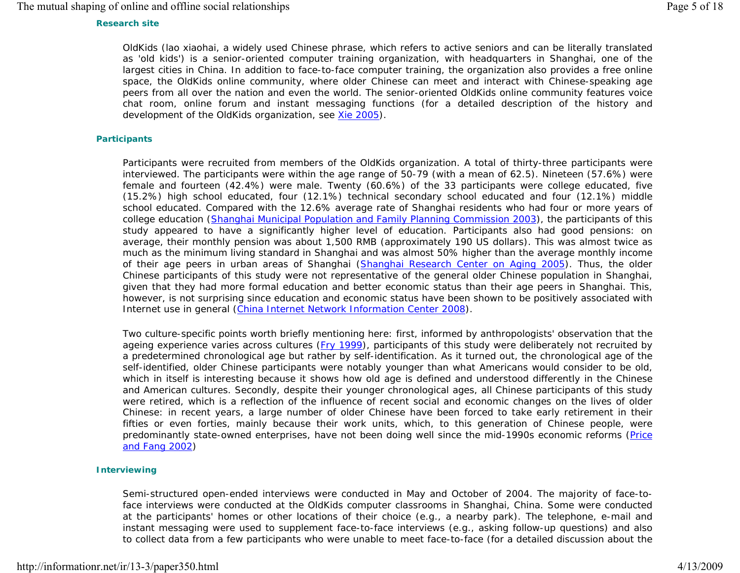# The mutual shaping of online and offline social relationships Page 5 of 18

# **Research site**

OldKids (*lao xiaohai*, a widely used Chinese phrase, which refers to active seniors and can be literally translated as 'old kids') is a senior-oriented computer training organization, with headquarters in Shanghai, one of the largest cities in China. In addition to face-to-face computer training, the organization also provides a free online space, the OldKids online community, where older Chinese can meet and interact with Chinese-speaking age peers from all over the nation and even the world. The senior-oriented OldKids online community features voice chat room, online forum and instant messaging functions (for a detailed description of the history and development of the OldKids organization, see Xie 2005).

#### **Participants**

Participants were recruited from members of the OldKids organization. A total of thirty-three participants were interviewed. The participants were within the age range of 50-79 (with a mean of 62.5). Nineteen (57.6%) were female and fourteen (42.4%) were male. Twenty (60.6%) of the 33 participants were college educated, five (15.2%) high school educated, four (12.1%) technical secondary school educated and four (12.1%) middle school educated. Compared with the 12.6% average rate of Shanghai residents who had four or more years of college education (Shanghai Municipal Population and Family Planning Commission 2003), the participants of this study appeared to have a significantly higher level of education. Participants also had good pensions: on average, their monthly pension was about 1,500 RMB (approximately 190 US dollars). This was almost twice as much as the minimum living standard in Shanghai and was almost 50% higher than the average monthly income of their age peers in urban areas of Shanghai (Shanghai Research Center on Aging 2005). Thus, the older Chinese participants of this study were not representative of the general older Chinese population in Shanghai, given that they had more formal education and better economic status than their age peers in Shanghai. This, however, is not surprising since education and economic status have been shown to be positively associated with Internet use in general (China Internet Network Information Center 2008).

Two culture-specific points worth briefly mentioning here: first, informed by anthropologists' observation that the ageing experience varies across cultures (Fry 1999), participants of this study were deliberately not recruited by a predetermined chronological age but rather by self-identification. As it turned out, the chronological age of the self-identified, older Chinese participants were notably younger than what Americans would consider to be old, which in itself is interesting because it shows how old age is defined and understood differently in the Chinese and American cultures. Secondly, despite their younger chronological ages, all Chinese participants of this study were retired, which is a reflection of the influence of recent social and economic changes on the lives of older Chinese: in recent years, a large number of older Chinese have been forced to take early retirement in their fifties or even forties, mainly because their work units, which, to this generation of Chinese people, were predominantly state-owned enterprises, have not been doing well since the mid-1990s economic reforms (Price and Fang 2002)

## **Interviewing**

Semi-structured open-ended interviews were conducted in May and October of 2004. The majority of face-toface interviews were conducted at the OldKids computer classrooms in Shanghai, China. Some were conducted at the participants' homes or other locations of their choice (e.g., a nearby park). The telephone, e-mail and instant messaging were used to supplement face-to-face interviews (e.g., asking follow-up questions) and also to collect data from a few participants who were unable to meet face-to-face (for a detailed discussion about the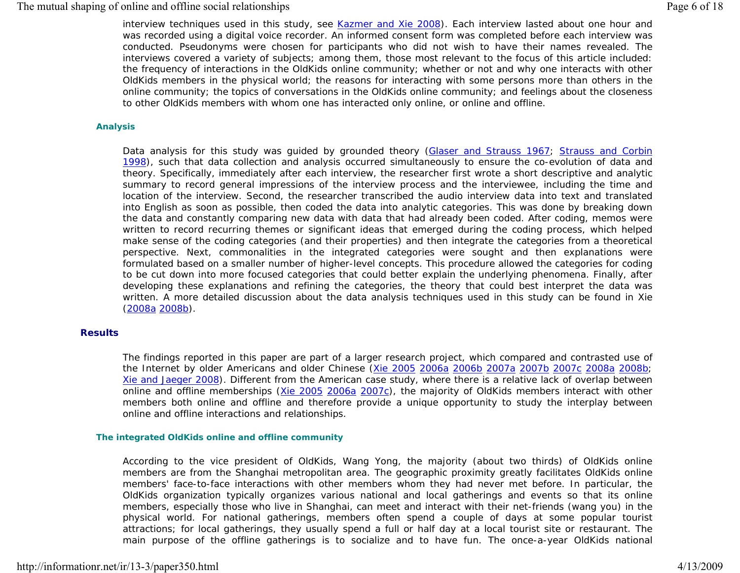# The mutual shaping of online and offline social relationships Page 6 of 18

interview techniques used in this study, see Kazmer and Xie 2008). Each interview lasted about one hour and was recorded using a digital voice recorder. An informed consent form was completed before each interview was conducted. Pseudonyms were chosen for participants who did not wish to have their names revealed. The interviews covered a variety of subjects; among them, those most relevant to the focus of this article included: the frequency of interactions in the OldKids online community; whether or not and why one interacts with other OldKids members in the physical world; the reasons for interacting with some persons more than others in the online community; the topics of conversations in the OldKids online community; and feelings about the closeness to other OldKids members with whom one has interacted only online, or online and offline.

#### **Analysis**

Data analysis for this study was guided by grounded theory (Glaser and Strauss 1967; Strauss and Corbin 1998), such that data collection and analysis occurred simultaneously to ensure the co-evolution of data and theory. Specifically, immediately after each interview, the researcher first wrote a short descriptive and analytic summary to record general impressions of the interview process and the interviewee, including the time and location of the interview. Second, the researcher transcribed the audio interview data into text and translated into English as soon as possible, then coded the data into analytic categories. This was done by breaking down the data and constantly comparing new data with data that had already been coded. After coding, memos were written to record recurring themes or significant ideas that emerged during the coding process, which helped make sense of the coding categories (and their properties) and then integrate the categories from a theoretical perspective. Next, commonalities in the integrated categories were sought and then explanations were formulated based on a smaller number of higher-level concepts. This procedure allowed the categories for coding to be cut down into more focused categories that could better explain the underlying phenomena. Finally, after developing these explanations and refining the categories, the theory that could best interpret the data was written. A more detailed discussion about the data analysis techniques used in this study can be found in Xie (2008a 2008b).

#### **Results**

The findings reported in this paper are part of a larger research project, which compared and contrasted use of the Internet by older Americans and older Chinese (Xie 2005 2006a 2006b 2007a 2007b 2007c 2008a 2008b; Xie and Jaeger 2008). Different from the American case study, where there is a relative lack of overlap between online and offline memberships (Xie 2005 2006a 2007c), the majority of OldKids members interact with other members both online and offline and therefore provide a unique opportunity to study the interplay between online and offline interactions and relationships.

#### **The integrated OldKids online and offline community**

According to the vice president of OldKids, Wang Yong, the majority (about two thirds) of OldKids online members are from the Shanghai metropolitan area. The geographic proximity greatly facilitates OldKids online members' face-to-face interactions with other members whom they had never met before. In particular, the OldKids organization typically organizes various national and local gatherings and events so that its online members, especially those who live in Shanghai, can meet and interact with their net-friends (*wang you*) in the physical world. For national gatherings, members often spend a couple of days at some popular tourist attractions; for local gatherings, they usually spend a full or half day at a local tourist site or restaurant. The main purpose of the offline gatherings is to socialize and to have fun. The once-a-year OldKids national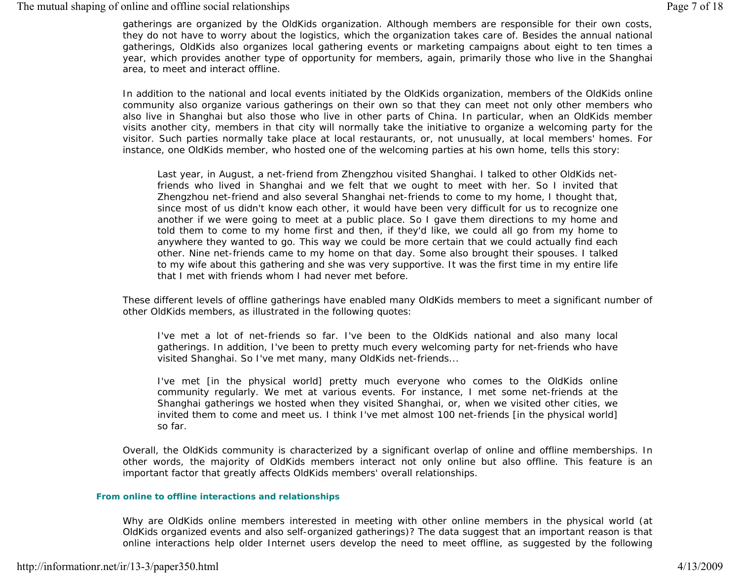gatherings are organized by the OldKids organization. Although members are responsible for their own costs, they do not have to worry about the logistics, which the organization takes care of. Besides the annual national gatherings, OldKids also organizes local gathering events or marketing campaigns about eight to ten times a year, which provides another type of opportunity for members, again, primarily those who live in the Shanghai area, to meet and interact offline.

In addition to the national and local events initiated by the OldKids organization, members of the OldKids online community also organize various gatherings on their own so that they can meet not only other members who also live in Shanghai but also those who live in other parts of China. In particular, when an OldKids member visits another city, members in that city will normally take the initiative to organize a welcoming party for the visitor. Such parties normally take place at local restaurants, or, not unusually, at local members' homes. For instance, one OldKids member, who hosted one of the welcoming parties at his own home, tells this story:

*Last year, in August, a net-friend from Zhengzhou visited Shanghai. I talked to other OldKids netfriends who lived in Shanghai and we felt that we ought to meet with her. So I invited that Zhengzhou net-friend and also several Shanghai net-friends to come to my home, I thought that, since most of us didn't know each other, it would have been very difficult for us to recognize one another if we were going to meet at a public place. So I gave them directions to my home and told them to come to my home first and then, if they'd like, we could all go from my home to anywhere they wanted to go. This way we could be more certain that we could actually find each other. Nine net-friends came to my home on that day. Some also brought their spouses. I talked to my wife about this gathering and she was very supportive. It was the first time in my entire life that I met with friends whom I had never met before.* 

These different levels of offline gatherings have enabled many OldKids members to meet a significant number of other OldKids members, as illustrated in the following quotes:

*I've met a lot of net-friends so far. I've been to the OldKids national and also many local gatherings. In addition, I've been to pretty much every welcoming party for net-friends who have visited Shanghai. So I've met many, many OldKids net-friends...* 

*I've met [in the physical world] pretty much everyone who comes to the OldKids online community regularly. We met at various events. For instance, I met some net-friends at the Shanghai gatherings we hosted when they visited Shanghai, or, when we visited other cities, we invited them to come and meet us. I think I've met almost 100 net-friends [in the physical world] so far.* 

Overall, the OldKids community is characterized by a significant overlap of online and offline memberships. In other words, the majority of OldKids members interact not only online but also offline. This feature is an important factor that greatly affects OldKids members' overall relationships.

#### **From online to offline interactions and relationships**

Why are OldKids online members interested in meeting with other online members in the physical world (at OldKids organized events and also self-organized gatherings)? The data suggest that an important reason is that online interactions help older Internet users develop the need to meet offline, as suggested by the following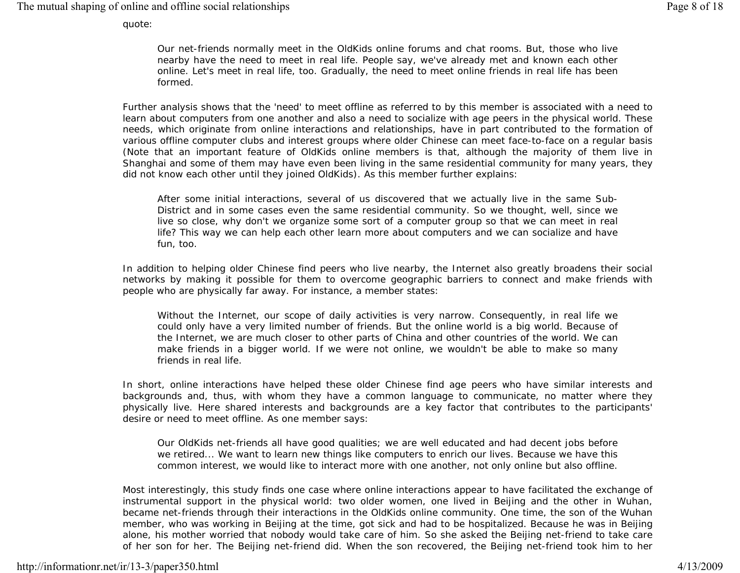The mutual shaping of online and offline social relationships Page 8 of 18

quote:

*Our net-friends normally meet in the OldKids online forums and chat rooms. But, those who live nearby have the need to meet in real life. People say, we've already met and known each other online. Let's meet in real life, too. Gradually, the need to meet online friends in real life has been formed.* 

Further analysis shows that the 'need' to meet offline as referred to by this member is associated with a need to learn about computers from one another and also a need to socialize with age peers in the physical world. These needs, which originate from online interactions and relationships, have in part contributed to the formation of various offline computer clubs and interest groups where older Chinese can meet face-to-face on a regular basis (Note that an important feature of OldKids online members is that, although the majority of them live in Shanghai and some of them may have even been living in the same residential community for many years, they did not know each other until they joined OldKids). As this member further explains:

*After some initial interactions, several of us discovered that we actually live in the same Sub-District and in some cases even the same residential community. So we thought, well, since we live so close, why don't we organize some sort of a computer group so that we can meet in real life? This way we can help each other learn more about computers and we can socialize and have fun, too.* 

In addition to helping older Chinese find peers who live nearby, the Internet also greatly broadens their social networks by making it possible for them to overcome geographic barriers to connect and make friends with people who are physically far away. For instance, a member states:

*Without the Internet, our scope of daily activities is very narrow. Consequently, in real life we could only have a very limited number of friends. But the online world is a big world. Because of the Internet, we are much closer to other parts of China and other countries of the world. We can make friends in a bigger world. If we were not online, we wouldn't be able to make so many friends in real life.* 

In short, online interactions have helped these older Chinese find age peers who have similar interests and backgrounds and, thus, with whom they have a common language to communicate, no matter where they physically live. Here shared interests and backgrounds are a key factor that contributes to the participants' desire or need to meet offline. As one member says:

*Our OldKids net-friends all have good qualities; we are well educated and had decent jobs before we retired... We want to learn new things like computers to enrich our lives. Because we have this common interest, we would like to interact more with one another, not only online but also offline.* 

Most interestingly, this study finds one case where online interactions appear to have facilitated the exchange of instrumental support in the physical world: two older women, one lived in Beijing and the other in Wuhan, became net-friends through their interactions in the OldKids online community. One time, the son of the Wuhan member, who was working in Beijing at the time, got sick and had to be hospitalized. Because he was in Beijing alone, his mother worried that nobody would take care of him. So she asked the Beijing net-friend to take care of her son for her. The Beijing net-friend did. When the son recovered, the Beijing net-friend took him to her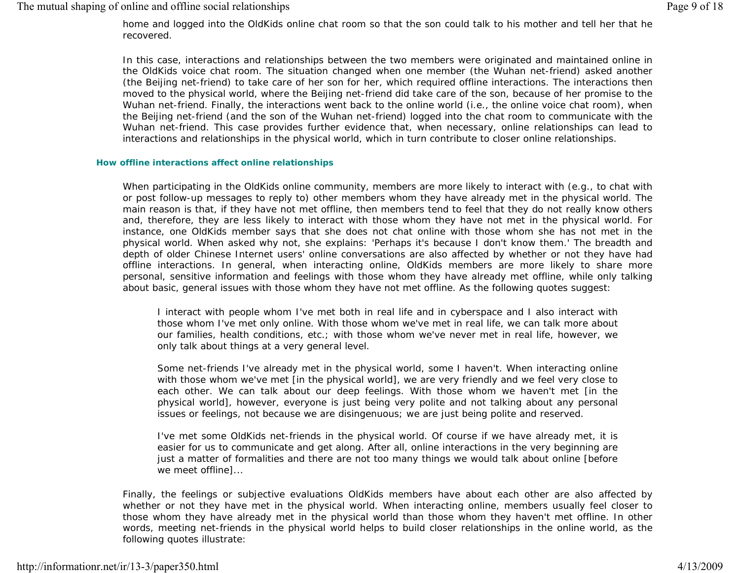home and logged into the OldKids online chat room so that the son could talk to his mother and tell her that he recovered.

In this case, interactions and relationships between the two members were originated and maintained online in the OldKids voice chat room. The situation changed when one member (the Wuhan net-friend) asked another (the Beijing net-friend) to take care of her son for her, which required offline interactions. The interactions then moved to the physical world, where the Beijing net-friend did take care of the son, because of her promise to the Wuhan net-friend. Finally, the interactions went back to the online world (i.e., the online voice chat room), when the Beijing net-friend (and the son of the Wuhan net-friend) logged into the chat room to communicate with the Wuhan net-friend. This case provides further evidence that, when necessary, online relationships can lead to interactions and relationships in the physical world, which in turn contribute to closer online relationships.

#### **How offline interactions affect online relationships**

When participating in the OldKids online community, members are more likely to interact with (e.g., to chat with or post follow-up messages to reply to) other members whom they have already met in the physical world. The main reason is that, if they have not met offline, then members tend to feel that they do not really know others and, therefore, they are less likely to interact with those whom they have not met in the physical world. For instance, one OldKids member says that she does not chat online with those whom she has not met in the physical world. When asked why not, she explains: '*Perhaps it's because I don't know them.*' The breadth and depth of older Chinese Internet users' online conversations are also affected by whether or not they have had offline interactions. In general, when interacting online, OldKids members are more likely to share more personal, sensitive information and feelings with those whom they have already met offline, while only talking about basic, general issues with those whom they have not met offline. As the following quotes suggest:

*I* interact with people whom I've met both in real life and in cyberspace and I also interact with *those whom I've met only online. With those whom we've met in real life, we can talk more about our families, health conditions, etc.; with those whom we've never met in real life, however, we only talk about things at a very general level.* 

*Some net-friends I've already met in the physical world, some I haven't. When interacting online with those whom we've met [in the physical world], we are very friendly and we feel very close to*  each other. We can talk about our deep feelings. With those whom we haven't met *fin* the *physical world], however, everyone is just being very polite and not talking about any personal issues or feelings, not because we are disingenuous; we are just being polite and reserved.* 

*I've met some OldKids net-friends in the physical world. Of course if we have already met, it is easier for us to communicate and get along. After all, online interactions in the very beginning are just a matter of formalities and there are not too many things we would talk about online [before we meet offline]...* 

Finally, the feelings or subjective evaluations OldKids members have about each other are also affected by whether or not they have met in the physical world. When interacting online, members usually feel closer to those whom they have already met in the physical world than those whom they haven't met offline. In other words, meeting net-friends in the physical world helps to build closer relationships in the online world, as the following quotes illustrate: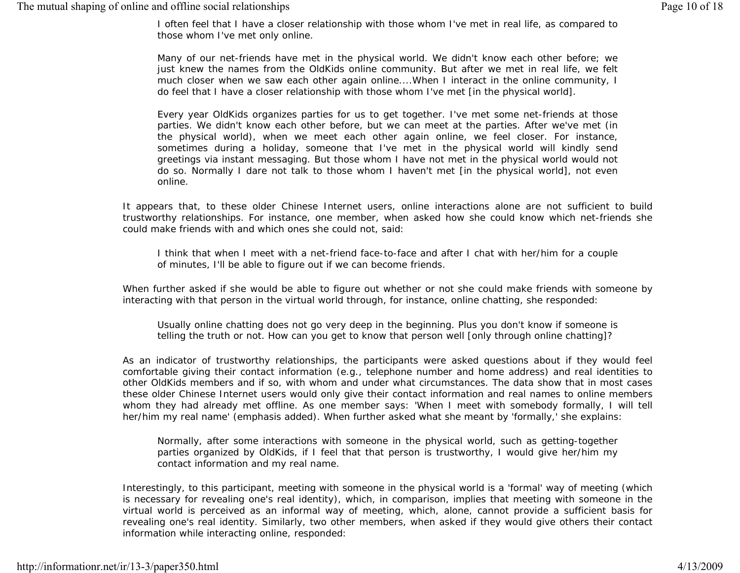*I often feel that I have a closer relationship with those whom I've met in real life, as compared to those whom I've met only online.* 

*Many of our net-friends have met in the physical world. We didn't know each other before; we just knew the names from the OldKids online community. But after we met in real life, we felt much closer when we saw each other again online....When I interact in the online community, I do feel that I have a closer relationship with those whom I've met [in the physical world].* 

*Every year OldKids organizes parties for us to get together. I've met some net-friends at those parties. We didn't know each other before, but we can meet at the parties. After we've met (in the physical world), when we meet each other again online, we feel closer. For instance, sometimes during a holiday, someone that I've met in the physical world will kindly send greetings via instant messaging. But those whom I have not met in the physical world would not do so. Normally I dare not talk to those whom I haven't met [in the physical world], not even online.* 

It appears that, to these older Chinese Internet users, online interactions alone are not sufficient to build trustworthy relationships. For instance, one member, when asked how she could know which net-friends she could make friends with and which ones she could not, said:

*I think that when I meet with a net-friend face-to-face and after I chat with her/him for a couple of minutes, I'll be able to figure out if we can become friends.* 

When further asked if she would be able to figure out whether or not she could make friends with someone by interacting with that person in the virtual world through, for instance, online chatting, she responded:

*Usually online chatting does not go very deep in the beginning. Plus you don't know if someone is telling the truth or not. How can you get to know that person well [only through online chatting]?* 

As an indicator of trustworthy relationships, the participants were asked questions about if they would feel comfortable giving their contact information (e.g., telephone number and home address) and real identities to other OldKids members and if so, with whom and under what circumstances. The data show that in most cases these older Chinese Internet users would only give their contact information and real names to online members whom they had already met offline. As one member says: '*When I meet with somebody formally, I will tell her/him my real name*' (emphasis added). When further asked what she meant by '*formally*,' she explains:

*Normally, after some interactions with someone in the physical world, such as getting-together parties organized by OldKids, if I feel that that person is trustworthy, I would give her/him my contact information and my real name.* 

Interestingly, to this participant, meeting with someone in the physical world is a 'formal' way of meeting (which is necessary for revealing one's real identity), which, in comparison, implies that meeting with someone in the virtual world is perceived as an informal way of meeting, which, alone, cannot provide a sufficient basis for revealing one's real identity. Similarly, two other members, when asked if they would give others their contact information while interacting online, responded: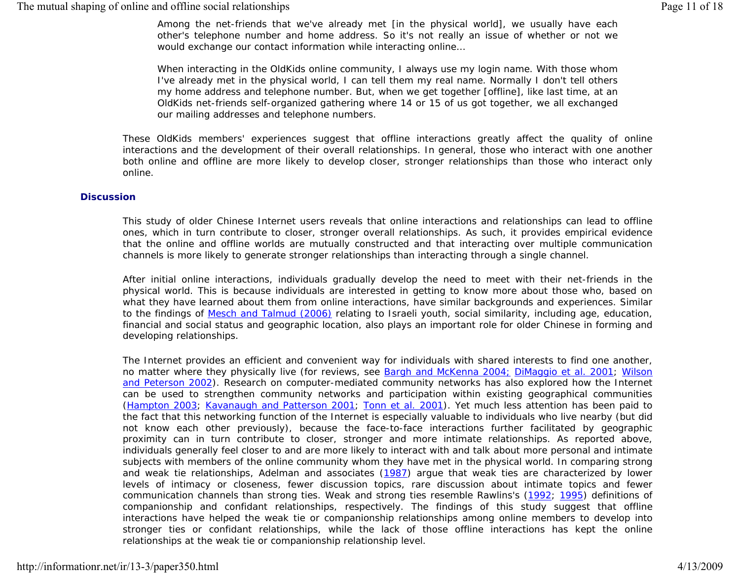*Among the net-friends that we've already met [in the physical world], we usually have each other's telephone number and home address. So it's not really an issue of whether or not we would exchange our contact information while interacting online…* 

*When interacting in the OldKids online community, I always use my login name. With those whom I've already met in the physical world, I can tell them my real name. Normally I don't tell others my home address and telephone number. But, when we get together [offline], like last time, at an OldKids net-friends self-organized gathering where 14 or 15 of us got together, we all exchanged our mailing addresses and telephone numbers.* 

These OldKids members' experiences suggest that offline interactions greatly affect the quality of online interactions and the development of their overall relationships. In general, those who interact with one another both online and offline are more likely to develop closer, stronger relationships than those who interact only online.

#### **Discussion**

This study of older Chinese Internet users reveals that online interactions and relationships can lead to offline ones, which in turn contribute to closer, stronger overall relationships. As such, it provides empirical evidence that the online and offline worlds are mutually constructed and that interacting over multiple communication channels is more likely to generate stronger relationships than interacting through a single channel.

After initial online interactions, individuals gradually develop the need to meet with their net-friends in the physical world. This is because individuals are interested in getting to know more about those who, based on what they have learned about them from online interactions, have similar backgrounds and experiences. Similar to the findings of Mesch and Talmud (2006) relating to Israeli youth, social similarity, including age, education, financial and social status and geographic location, also plays an important role for older Chinese in forming and developing relationships.

The Internet provides an efficient and convenient way for individuals with shared interests to find one another, no matter where they physically live (for reviews, see Bargh and McKenna 2004; DiMaggio *et al.* 2001; Wilson and Peterson 2002). Research on computer-mediated community networks has also explored how the Internet can be used to strengthen community networks and participation within existing geographical communities (Hampton 2003; Kavanaugh and Patterson 2001; Tonn *et al.* 2001). Yet much less attention has been paid to the fact that this networking function of the Internet is especially valuable to individuals who live nearby (but did not know each other previously), because the face-to-face interactions further facilitated by geographic proximity can in turn contribute to closer, stronger and more intimate relationships. As reported above, individuals generally feel closer to and are more likely to interact with and talk about more personal and intimate subjects with members of the online community whom they have met in the physical world. In comparing strong and weak tie relationships, Adelman and associates (1987) argue that weak ties are characterized by lower levels of intimacy or closeness, fewer discussion topics, rare discussion about intimate topics and fewer communication channels than strong ties. Weak and strong ties resemble Rawlins's (1992; 1995) definitions of companionship and confidant relationships, respectively. The findings of this study suggest that offline interactions have helped the weak tie or companionship relationships among online members to develop into stronger ties or confidant relationships, while the lack of those offline interactions has kept the online relationships at the weak tie or companionship relationship level.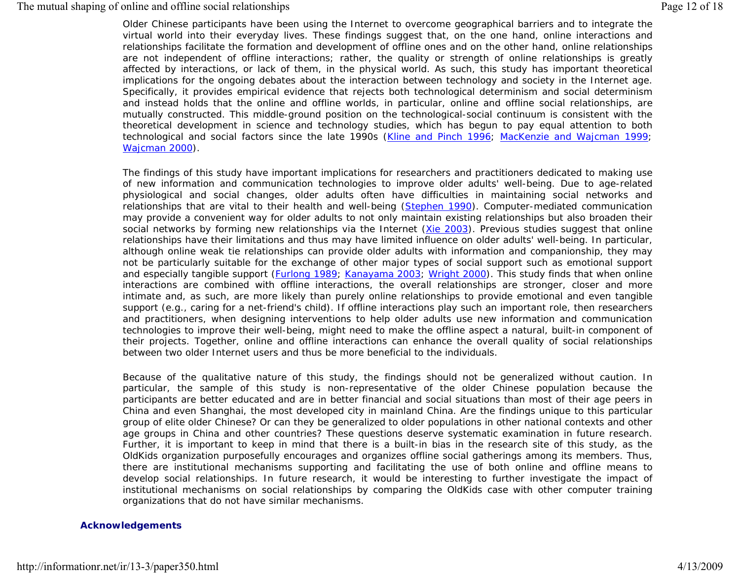# The mutual shaping of online and offline social relationships Page 12 of 18

Older Chinese participants have been using the Internet to overcome geographical barriers and to integrate the virtual world into their everyday lives. These findings suggest that, on the one hand, online interactions and relationships facilitate the formation and development of offline ones and on the other hand, online relationships are not independent of offline interactions; rather, the quality or strength of online relationships is greatly affected by interactions, or lack of them, in the physical world. As such, this study has important theoretical implications for the ongoing debates about the interaction between technology and society in the Internet age. Specifically, it provides empirical evidence that rejects both technological determinism and social determinism and instead holds that the online and offline worlds, in particular, online and offline social relationships, are mutually constructed. This middle-ground position on the technological-social continuum is consistent with the theoretical development in science and technology studies, which has begun to pay equal attention to both technological and social factors since the late 1990s (Kline and Pinch 1996; MacKenzie and Wajcman 1999; Wajcman 2000).

The findings of this study have important implications for researchers and practitioners dedicated to making use of new information and communication technologies to improve older adults' well-being. Due to age-related physiological and social changes, older adults often have difficulties in maintaining social networks and relationships that are vital to their health and well-being (Stephen 1990). Computer-mediated communication may provide a convenient way for older adults to not only maintain existing relationships but also broaden their social networks by forming new relationships via the Internet (Xie 2003). Previous studies suggest that online relationships have their limitations and thus may have limited influence on older adults' well-being. In particular, although online weak tie relationships can provide older adults with information and companionship, they may not be particularly suitable for the exchange of other major types of social support such as emotional support and especially tangible support (Furlong 1989; Kanayama 2003; Wright 2000). This study finds that when online interactions are combined with offline interactions, the overall relationships are stronger, closer and more intimate and, as such, are more likely than purely online relationships to provide emotional and even tangible support (e.g., caring for a net-friend's child). If offline interactions play such an important role, then researchers and practitioners, when designing interventions to help older adults use new information and communication technologies to improve their well-being, might need to make the offline aspect a natural, built-in component of their projects. Together, online and offline interactions can enhance the overall quality of social relationships between two older Internet users and thus be more beneficial to the individuals.

Because of the qualitative nature of this study, the findings should not be generalized without caution. In particular, the sample of this study is non-representative of the older Chinese population because the participants are better educated and are in better financial and social situations than most of their age peers in China and even Shanghai, the most developed city in mainland China. Are the findings unique to this particular group of elite older Chinese? Or can they be generalized to older populations in other national contexts and other age groups in China and other countries? These questions deserve systematic examination in future research. Further, it is important to keep in mind that there is a built-in bias in the research site of this study, as the OldKids organization purposefully encourages and organizes offline social gatherings among its members. Thus, there are institutional mechanisms supporting and facilitating the use of both online and offline means to develop social relationships. In future research, it would be interesting to further investigate the impact of institutional mechanisms on social relationships by comparing the OldKids case with other computer training organizations that do not have similar mechanisms.

## **Acknowledgements**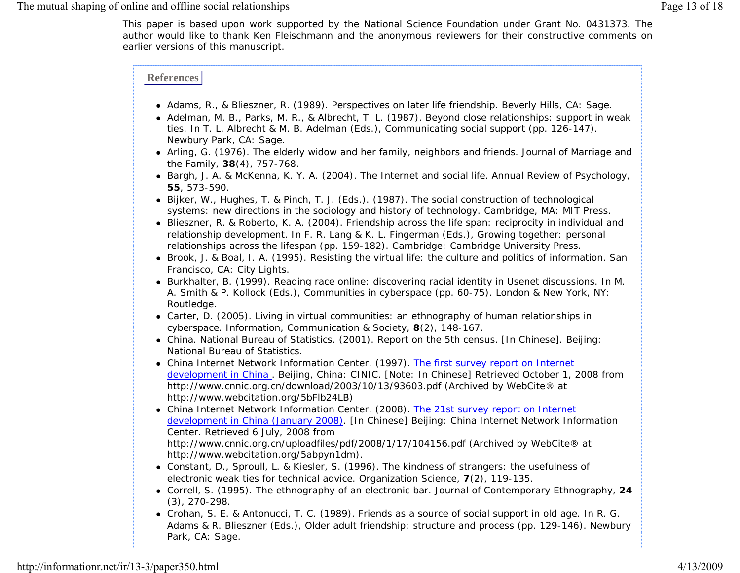This paper is based upon work supported by the National Science Foundation under Grant No. 0431373. The author would like to thank Ken Fleischmann and the anonymous reviewers for their constructive comments on earlier versions of this manuscript.

# **References**

- Adams, R., & Blieszner, R. (1989). *Perspectives on later life friendship.* Beverly Hills, CA: Sage.
- Adelman, M. B., Parks, M. R., & Albrecht, T. L. (1987). Beyond close relationships: support in weak ties. In T. L. Albrecht & M. B. Adelman (Eds.), *Communicating social support* (pp. 126-147). Newbury Park, CA: Sage.
- Arling, G. (1976). The elderly widow and her family, neighbors and friends. *Journal of Marriage and the Family*, **38**(4), 757-768.
- Bargh, J. A. & McKenna, K. Y. A. (2004). The Internet and social life. *Annual Review of Psychology*, **55**, 573-590.
- Bijker, W., Hughes, T. & Pinch, T. J. (Eds.). (1987). *The social construction of technological systems: new directions in the sociology and history of technology*. Cambridge, MA: MIT Press.
- Blieszner, R. & Roberto, K. A. (2004). Friendship across the life span: reciprocity in individual and relationship development. In F. R. Lang & K. L. Fingerman (Eds.), *Growing together: personal relationships across the lifespan* (pp. 159-182). Cambridge: Cambridge University Press.
- Brook, J. & Boal, I. A. (1995). *Resisting the virtual life: the culture and politics of information.* San Francisco, CA: City Lights.
- Burkhalter, B. (1999). Reading race online: discovering racial identity in Usenet discussions. In M. A. Smith & P. Kollock (Eds.), *Communities in cyberspace* (pp. 60-75). London & New York, NY: Routledge.
- Carter, D. (2005). Living in virtual communities: an ethnography of human relationships in cyberspace. *Information, Communication & Society,* **8**(2), 148-167.
- China. *National Bureau of Statistics.* (2001). *Report on the 5th census.* [In Chinese]. Beijing: National Bureau of Statistics.
- China Internet Network Information Center. (1997). *The first survey report on Internet development in China* . Beijing, China: CINIC. [Note: In Chinese] Retrieved October 1, 2008 from http://www.cnnic.org.cn/download/2003/10/13/93603.pdf (Archived by WebCite® at http://www.webcitation.org/5bFlb24LB)
- China Internet Network Information Center. (2008). *The 21st survey report on Internet development in China (January 2008)*. [In Chinese] Beijing: China Internet Network Information Center. Retrieved 6 July, 2008 from http://www.cnnic.org.cn/uploadfiles/pdf/2008/1/17/104156.pdf (Archived by WebCite® at http://www.webcitation.org/5abpyn1dm).
- Constant, D., Sproull, L. & Kiesler, S. (1996). The kindness of strangers: the usefulness of electronic weak ties for technical advice. *Organization Science*, **7**(2), 119-135.
- Correll, S. (1995). The ethnography of an electronic bar. *Journal of Contemporary Ethnography,* **24** (3), 270-298.
- Crohan, S. E. & Antonucci, T. C. (1989). Friends as a source of social support in old age. In R. G. Adams & R. Blieszner (Eds.), *Older adult friendship: structure and process* (pp. 129-146). Newbury Park, CA: Sage.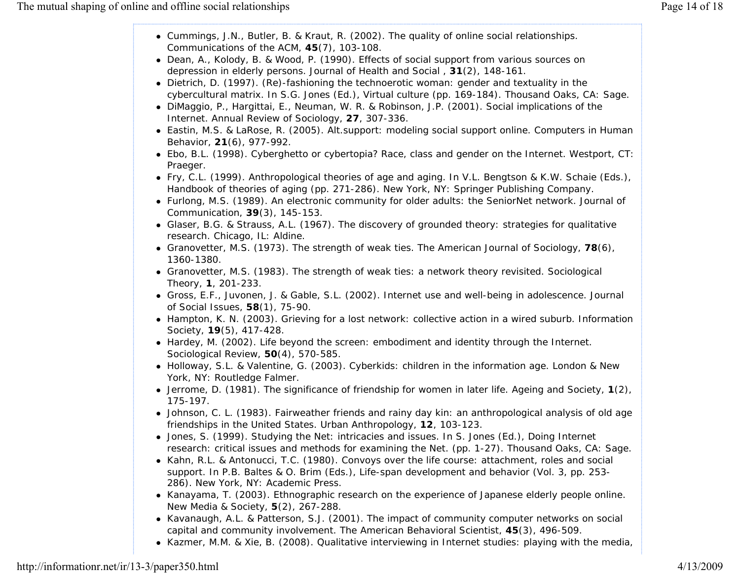- Cummings, J.N., Butler, B. & Kraut, R. (2002). The quality of online social relationships. *Communications of the ACM,* **45**(7), 103-108.
- Dean, A., Kolody, B. & Wood, P. (1990). Effects of social support from various sources on depression in elderly persons. *Journal of Health and Social* , **31**(2), 148-161.
- Dietrich, D. (1997). (Re)-fashioning the technoerotic woman: gender and textuality in the cybercultural matrix. In S.G. Jones (Ed.), *Virtual culture* (pp. 169-184). Thousand Oaks, CA: Sage.
- DiMaggio, P., Hargittai, E., Neuman, W. R. & Robinson, J.P. (2001). Social implications of the Internet. *Annual Review of Sociology*, **27**, 307-336.
- Eastin, M.S. & LaRose, R. (2005). Alt.support: modeling social support online. *Computers in Human Behavior*, **21**(6), 977-992.
- Ebo, B.L. (1998). *Cyberghetto or cybertopia? Race, class and gender on the Internet.* Westport, CT: Praeger.
- Fry, C.L. (1999). Anthropological theories of age and aging. In V.L. Bengtson & K.W. Schaie (Eds.), *Handbook of theories of aging* (pp. 271-286). New York, NY: Springer Publishing Company.
- Furlong, M.S. (1989). An electronic community for older adults: the SeniorNet network. *Journal of Communication*, **39**(3), 145-153.
- Glaser, B.G. & Strauss, A.L. (1967). *The discovery of grounded theory: strategies for qualitative research*. Chicago, IL: Aldine.
- Granovetter, M.S. (1973). The strength of weak ties. *The American Journal of Sociology,* **78**(6), 1360-1380.
- Granovetter, M.S. (1983). The strength of weak ties: a network theory revisited. *Sociological Theory,* **1**, 201-233.
- Gross, E.F., Juvonen, J. & Gable, S.L. (2002). Internet use and well-being in adolescence. *Journal of Social Issues,* **58**(1), 75-90.
- Hampton, K. N. (2003). Grieving for a lost network: collective action in a wired suburb. *Information Society,* **19**(5), 417-428.
- Hardey, M. (2002). Life beyond the screen: embodiment and identity through the Internet. *Sociological Review,* **50**(4), 570-585.
- Holloway, S.L. & Valentine, G. (2003). *Cyberkids: children in the information age.* London & New York, NY: Routledge Falmer.
- Jerrome, D. (1981). The significance of friendship for women in later life. *Ageing and Society,* **<sup>1</sup>**(2), 175-197.
- Johnson, C. L. (1983). Fairweather friends and rainy day kin: an anthropological analysis of old age friendships in the United States. *Urban Anthropology,* **12**, 103-123.
- Jones, S. (1999). Studying the Net: intricacies and issues. In S. Jones (Ed.), *Doing Internet research: critical issues and methods for examining the Net*. (pp. 1-27). Thousand Oaks, CA: Sage.
- Kahn, R.L. & Antonucci, T.C. (1980). Convoys over the life course: attachment, roles and social support. In P.B. Baltes & O. Brim (Eds.), *Life-span development and behavior* (Vol. 3, pp. 253- 286). New York, NY: Academic Press.
- Kanayama, T. (2003). Ethnographic research on the experience of Japanese elderly people online. *New Media & Society*, **5**(2), 267-288.
- Kavanaugh, A.L. & Patterson, S.J. (2001). The impact of community computer networks on social capital and community involvement. *The American Behavioral Scientist*, **45**(3), 496-509.
- **Kazmer, M.M. & Xie, B. (2008). Qualitative interviewing in Internet studies: playing with the media,**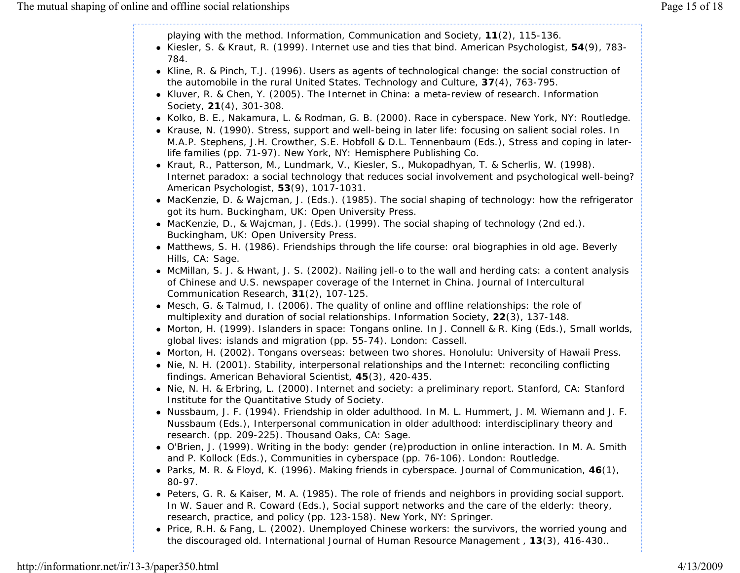playing with the method. *Information, Communication and Society*, **11**(2), 115-136.

- Kiesler, S. & Kraut, R. (1999). Internet use and ties that bind. *American Psychologist*, **54**(9), 783- 784.
- Kline, R. & Pinch, T.J. (1996). Users as agents of technological change: the social construction of the automobile in the rural United States. *Technology and Culture*, **37**(4), 763-795.
- Kluver, R. & Chen, Y. (2005). The Internet in China: a meta-review of research. *Information Society*, **21**(4), 301-308.
- Kolko, B. E., Nakamura, L. & Rodman, G. B. (2000). *Race in cyberspace.* New York, NY: Routledge.
- Krause, N. (1990). Stress, support and well-being in later life: focusing on salient social roles. In M.A.P. Stephens, J.H. Crowther, S.E. Hobfoll & D.L. Tennenbaum (Eds.), *Stress and coping in laterlife families* (pp. 71-97). New York, NY: Hemisphere Publishing Co.
- Kraut, R., Patterson, M., Lundmark, V., Kiesler, S., Mukopadhyan, T. & Scherlis, W. (1998). Internet paradox: a social technology that reduces social involvement and psychological well-being? *American Psychologist*, **53**(9), 1017-1031.
- MacKenzie, D. & Wajcman, J. (Eds.). (1985). *The social shaping of technology: how the refrigerator got its hum.* Buckingham, UK: Open University Press.
- MacKenzie, D., & Wajcman, J. (Eds.). (1999). *The social shaping of technology* (2nd ed.). Buckingham, UK: Open University Press.
- Matthews, S. H. (1986). *Friendships through the life course: oral biographies in old age.* Beverly Hills, CA: Sage.
- McMillan, S. J. & Hwant, J. S. (2002). Nailing jell-o to the wall and herding cats: a content analysis of Chinese and U.S. newspaper coverage of the Internet in China. *Journal of Intercultural Communication Research,* **31**(2), 107-125.
- Mesch, G. & Talmud, I. (2006). The quality of online and offline relationships: the role of multiplexity and duration of social relationships. *Information Society,* **22**(3), 137-148.
- Morton, H. (1999). Islanders in space: Tongans online. In J. Connell & R. King (Eds.), *Small worlds, global lives: islands and migration* (pp. 55-74). London: Cassell.
- Morton, H. (2002). *Tongans overseas: between two shores.* Honolulu: University of Hawaii Press.
- Nie, N. H. (2001). Stability, interpersonal relationships and the Internet: reconciling conflicting findings. *American Behavioral Scientist*, **45**(3), 420-435.
- Nie, N. H. & Erbring, L. (2000). *Internet and society: a preliminary report.* Stanford, CA: Stanford Institute for the Quantitative Study of Society.
- Nussbaum, J. F. (1994). Friendship in older adulthood. In M. L. Hummert, J. M. Wiemann and J. F. Nussbaum (Eds.), *Interpersonal communication in older adulthood: interdisciplinary theory and research.* (pp. 209-225). Thousand Oaks, CA: Sage.
- O'Brien, J. (1999). Writing in the body: gender (re)production in online interaction. In M. A. Smith and P. Kollock (Eds.), *Communities in cyberspace* (pp. 76-106). London: Routledge.
- Parks, M. R. & Floyd, K. (1996). *Making friends in cyberspace. Journal of Communication*, **46**(1), 80-97.
- Peters, G. R. & Kaiser, M. A. (1985). The role of friends and neighbors in providing social support. In W. Sauer and R. Coward (Eds.), *Social support networks and the care of the elderly: theory, research, practice, and policy* (pp. 123-158). New York, NY: Springer.
- Price, R.H. & Fang, L. (2002). Unemployed Chinese workers: the survivors, the worried young and the discouraged old. *International Journal of Human Resource Management* , **13**(3), 416-430..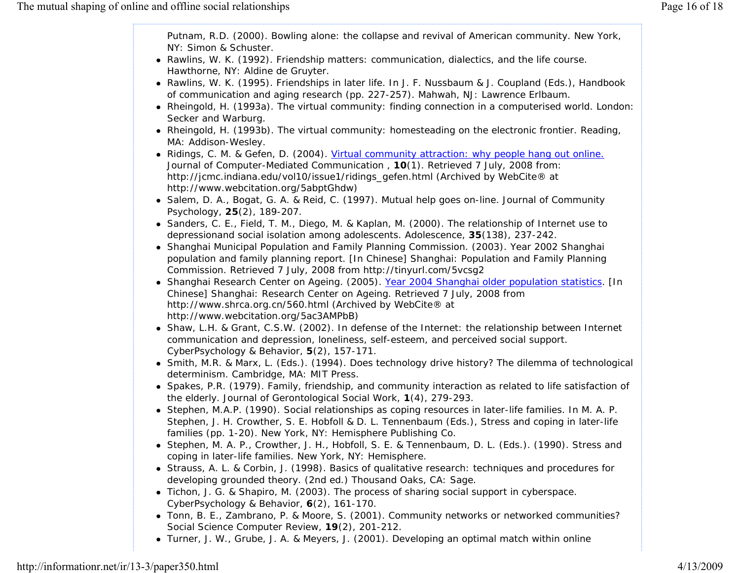Putnam, R.D. (2000). *Bowling alone: the collapse and revival of American community.* New York, NY: Simon & Schuster.

- Rawlins, W. K. (1992). *Friendship matters: communication, dialectics, and the life course.* Hawthorne, NY: Aldine de Gruyter.
- Rawlins, W. K. (1995). Friendships in later life. In J. F. Nussbaum & J. Coupland (Eds.), *Handbook of communication and aging research* (pp. 227-257). Mahwah, NJ: Lawrence Erlbaum.
- Rheingold, H. (1993a). *The virtual community: finding connection in a computerised world.* London: Secker and Warburg.
- Rheingold, H. (1993b). *The virtual community: homesteading on the electronic frontier*. Reading, MA: Addison-Wesley.
- Ridings, C. M. & Gefen, D. (2004). Virtual community attraction: why people hang out online. *Journal of Computer-Mediated Communication* , **10**(1). Retrieved 7 July, 2008 from: http://jcmc.indiana.edu/vol10/issue1/ridings\_gefen.html (Archived by WebCite® at http://www.webcitation.org/5abptGhdw)
- Salem, D. A., Bogat, G. A. & Reid, C. (1997). Mutual help goes on-line. *Journal of Community Psychology*, **25**(2), 189-207.
- Sanders, C. E., Field, T. M., Diego, M. & Kaplan, M. (2000). The relationship of Internet use to depressionand social isolation among adolescents. *Adolescence*, **35**(138), 237-242.
- Shanghai Municipal Population and Family Planning Commission. (2003). *Year 2002 Shanghai population and family planning report*. [In Chinese] Shanghai: Population and Family Planning Commission. Retrieved 7 July, 2008 from http://tinyurl.com/5vcsg2
- Shanghai Research Center on Ageing. (2005). *Year 2004 Shanghai older population statistics*. [In Chinese] Shanghai: Research Center on Ageing. Retrieved 7 July, 2008 from http://www.shrca.org.cn/560.html (Archived by WebCite® at http://www.webcitation.org/5ac3AMPbB)
- Shaw, L.H. & Grant, C.S.W. (2002). In defense of the Internet: the relationship between Internet communication and depression, loneliness, self-esteem, and perceived social support. *CyberPsychology & Behavior*, **5**(2), 157-171.
- Smith, M.R. & Marx, L. (Eds.). (1994). *Does technology drive history? The dilemma of technological determinism*. Cambridge, MA: MIT Press.
- Spakes, P.R. (1979). Family, friendship, and community interaction as related to life satisfaction of the elderly. *Journal of Gerontological Social Work*, **1**(4), 279-293.
- **Stephen, M.A.P. (1990). Social relationships as coping resources in later-life families. In M. A. P.** Stephen, J. H. Crowther, S. E. Hobfoll & D. L. Tennenbaum (Eds.), *Stress and coping in later-life families* (pp. 1-20). New York, NY: Hemisphere Publishing Co.
- Stephen, M. A. P., Crowther, J. H., Hobfoll, S. E. & Tennenbaum, D. L. (Eds.). (1990). *Stress and coping in later-life families.* New York, NY: Hemisphere.
- **Strauss, A. L. & Corbin, J. (1998).** *Basics of qualitative research: techniques and procedures for* $\overline{a}$ *developing grounded theory.* (2nd ed.) Thousand Oaks, CA: Sage.
- Tichon, J. G. & Shapiro, M. (2003). The process of sharing social support in cyberspace. *CyberPsychology & Behavior,* **6**(2), 161-170.
- Tonn, B. E., Zambrano, P. & Moore, S. (2001). Community networks or networked communities? *Social Science Computer Review,* **19**(2), 201-212.
- Turner, J. W., Grube, J. A. & Meyers, J. (2001). Developing an optimal match within online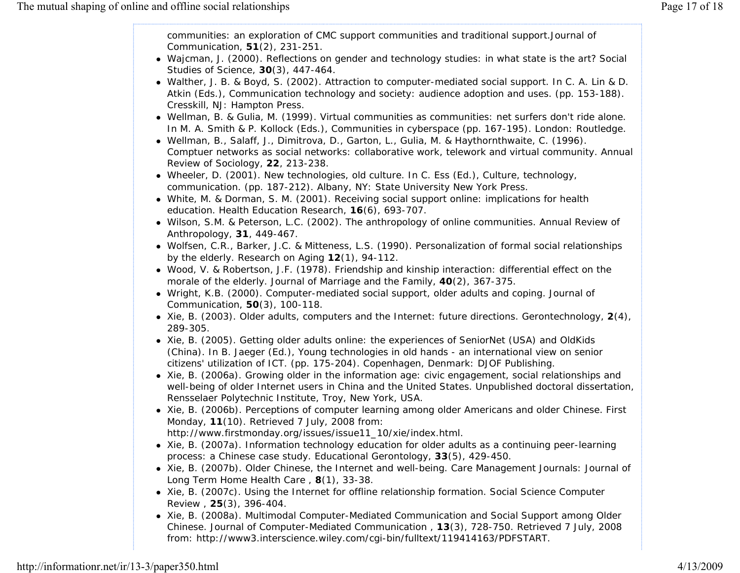communities: an exploration of CMC support communities and traditional support.*Journal of Communication,* **51**(2), 231-251.

- Wajcman, J. (2000). Reflections on gender and technology studies: in what state is the art? *Social Studies of Science*, **30**(3), 447-464.
- Walther, J. B. & Boyd, S. (2002). Attraction to computer-mediated social support. In C. A. Lin & D. Atkin (Eds.), *Communication technology and society: audience adoption and uses.* (pp. 153-188). Cresskill, NJ: Hampton Press.
- Wellman, B. & Gulia, M. (1999). Virtual communities as communities: net surfers don't ride alone. In M. A. Smith & P. Kollock (Eds.), *Communities in cyberspace* (pp. 167-195). London: Routledge.
- Wellman, B., Salaff, J., Dimitrova, D., Garton, L., Gulia, M. & Haythornthwaite, C. (1996). Comptuer networks as social networks: collaborative work, telework and virtual community. *Annual Review of Sociology,* **22**, 213-238.
- Wheeler, D. (2001). New technologies, old culture. In C. Ess (Ed.), *Culture, technology, communication*. (pp. 187-212). Albany, NY: State University New York Press.
- White, M. & Dorman, S. M. (2001). Receiving social support online: implications for health education. *Health Education Research*, **16**(6), 693-707.
- Wilson, S.M. & Peterson, L.C. (2002). The anthropology of online communities. *Annual Review of Anthropology*, **31**, 449-467.
- Wolfsen, C.R., Barker, J.C. & Mitteness, L.S. (1990). Personalization of formal social relationships by the elderly. *Research on Aging* **12**(1), 94-112.
- Wood, V. & Robertson, J.F. (1978). Friendship and kinship interaction: differential effect on the morale of the elderly. *Journal of Marriage and the Family*, **40**(2), 367-375.
- Wright, K.B. (2000). Computer-mediated social support, older adults and coping. *Journal of Communication*, **50**(3), 100-118.
- Xie, B. (2003). Older adults, computers and the Internet: future directions. *Gerontechnology*, **2**(4), 289-305.
- Xie, B. (2005). Getting older adults online: the experiences of SeniorNet (USA) and OldKids (China). In B. Jaeger (Ed.), *Young technologies in old hands - an international view on senior citizens' utilization of ICT*. (pp. 175-204). Copenhagen, Denmark: DJOF Publishing.
- Xie, B. (2006a). *Growing older in the information age: civic engagement, social relationships and well-being of older Internet users in China and the United States*. Unpublished doctoral dissertation, Rensselaer Polytechnic Institute, Troy, New York, USA.
- Xie, B. (2006b). Perceptions of computer learning among older Americans and older Chinese. *First Monday*, **<sup>11</sup>**(10). Retrieved 7 July, 2008 from: http://www.firstmonday.org/issues/issue11\_10/xie/index.html.
- Xie, B. (2007a). Information technology education for older adults as a continuing peer-learning process: a Chinese case study. *Educational Gerontology*, **33**(5), 429-450.
- Xie, B. (2007b). Older Chinese, the Internet and well-being. *Care Management Journals: Journal of Long Term Home Health Care* , **8**(1), 33-38.
- Xie, B. (2007c). Using the Internet for offline relationship formation. *Social Science Computer Review* , **25**(3), 396-404.
- Xie, B. (2008a). Multimodal Computer-Mediated Communication and Social Support among Older Chinese. *Journal of Computer-Mediated Communication* , **13**(3), 728-750. Retrieved 7 July, 2008 from: http://www3.interscience.wiley.com/cgi-bin/fulltext/119414163/PDFSTART.